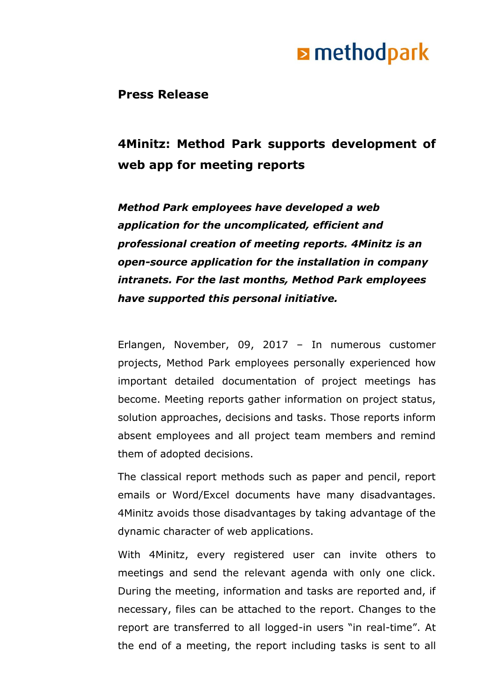# **E** methodpark

**Press Release**

### **4Minitz: Method Park supports development of web app for meeting reports**

*Method Park employees have developed a web application for the uncomplicated, efficient and professional creation of meeting reports. 4Minitz is an open-source application for the installation in company intranets. For the last months, Method Park employees have supported this personal initiative.*

Erlangen, November, 09, 2017 – In numerous customer projects, Method Park employees personally experienced how important detailed documentation of project meetings has become. Meeting reports gather information on project status, solution approaches, decisions and tasks. Those reports inform absent employees and all project team members and remind them of adopted decisions.

The classical report methods such as paper and pencil, report emails or Word/Excel documents have many disadvantages. 4Minitz avoids those disadvantages by taking advantage of the dynamic character of web applications.

With 4Minitz, every registered user can invite others to meetings and send the relevant agenda with only one click. During the meeting, information and tasks are reported and, if necessary, files can be attached to the report. Changes to the report are transferred to all logged-in users "in real-time". At the end of a meeting, the report including tasks is sent to all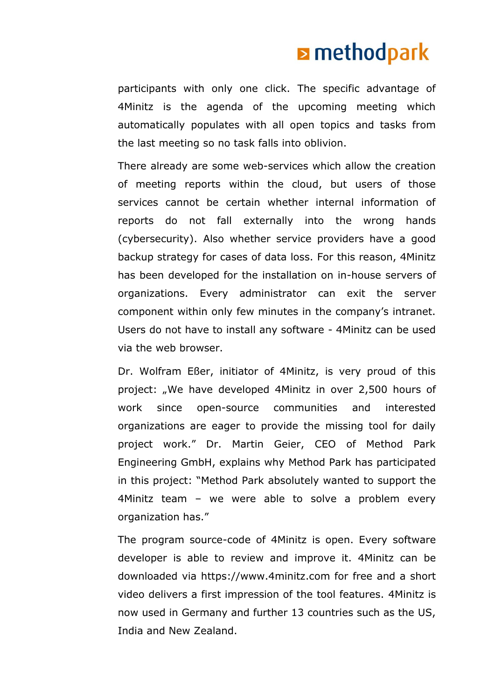# **E** methodpark

participants with only one click. The specific advantage of 4Minitz is the agenda of the upcoming meeting which automatically populates with all open topics and tasks from the last meeting so no task falls into oblivion.

There already are some web-services which allow the creation of meeting reports within the cloud, but users of those services cannot be certain whether internal information of reports do not fall externally into the wrong hands (cybersecurity). Also whether service providers have a good backup strategy for cases of data loss. For this reason, 4Minitz has been developed for the installation on in-house servers of organizations. Every administrator can exit the server component within only few minutes in the company's intranet. Users do not have to install any software - 4Minitz can be used via the web browser.

Dr. Wolfram Eßer, initiator of 4Minitz, is very proud of this project: "We have developed 4Minitz in over 2,500 hours of work since open-source communities and interested organizations are eager to provide the missing tool for daily project work." Dr. Martin Geier, CEO of Method Park Engineering GmbH, explains why Method Park has participated in this project: "Method Park absolutely wanted to support the 4Minitz team – we were able to solve a problem every organization has."

The program source-code of 4Minitz is open. Every software developer is able to review and improve it. 4Minitz can be downloaded via https://www.4minitz.com for free and a short video delivers a first impression of the tool features. 4Minitz is now used in Germany and further 13 countries such as the US, India and New Zealand.